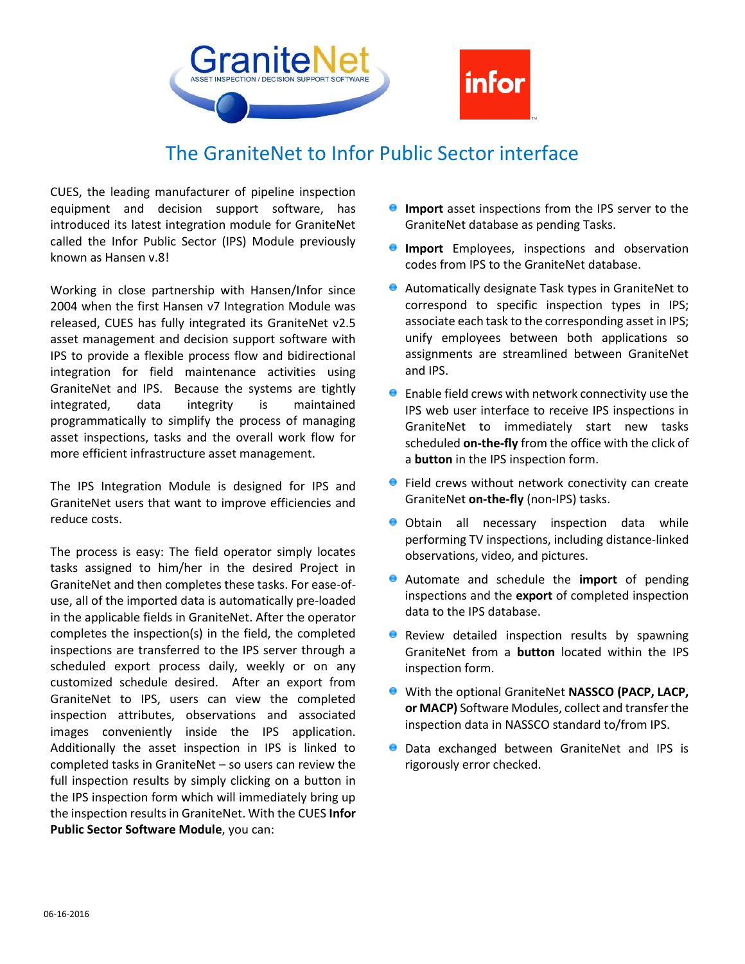

## The GraniteNet to Infor Public Sector interface

CUES, the leading manufacturer of pipeline inspection equipment and decision support software, has introduced its latest integration module for GraniteNet called the Infor Public Sector (IPS) Module previously known as Hansen v.8!

Working in close partnership with Hansen/Infor since 2004 when the first Hansen v7 Integration Module was released, CUES has fully integrated its GraniteNet v2.5 asset management and decision support software with IPS to provide a flexible process flow and bidirectional integration for field maintenance activities using GraniteNet and IPS. Because the systems are tightly integrated, data integrity is maintained programmatically to simplify the process of managing asset inspections, tasks and the overall work flow for more efficient infrastructure asset management.

The IPS Integration Module is designed for IPS and GraniteNet users that want to improve efficiencies and reduce costs.

The process is easy: The field operator simply locates tasks assigned to him/her in the desired Project in GraniteNet and then completes these tasks. For ease-ofuse, all of the imported data is automatically pre-loaded in the applicable fields in GraniteNet. After the operator completes the inspection(s) in the field, the completed inspections are transferred to the IPS server through a scheduled export process daily, weekly or on any customized schedule desired. After an export from GraniteNet to IPS, users can view the completed inspection attributes, observations and associated images conveniently inside the IPS application. Additionally the asset inspection in IPS is linked to completed tasks in GraniteNet – so users can review the full inspection results by simply clicking on a button in the IPS inspection form which will immediately bring up the inspection results in GraniteNet. With the CUES **Infor Public Sector Software Module**, you can:

- **Import** asset inspections from the IPS server to the GraniteNet database as pending Tasks.
- **Import** Employees, inspections and observation codes from IPS to the GraniteNet database.
- Automatically designate Task types in GraniteNet to correspond to specific inspection types in IPS; associate each task to the corresponding asset in IPS; unify employees between both applications so assignments are streamlined between GraniteNet and IPS.
- $\bullet$  Enable field crews with network connectivity use the IPS web user interface to receive IPS inspections in GraniteNet to immediately start new tasks scheduled **on-the-fly** from the office with the click of a **button** in the IPS inspection form.
- **•** Field crews without network conectivity can create GraniteNet **on-the-fly** (non-IPS) tasks.
- **Obtain all necessary inspection data while** performing TV inspections, including distance-linked observations, video, and pictures.
- Automate and schedule the **import** of pending inspections and the **export** of completed inspection data to the IPS database.
- **•** Review detailed inspection results by spawning GraniteNet from a **button** located within the IPS inspection form.
- With the optional GraniteNet **NASSCO (PACP, LACP, or MACP)** Software Modules, collect and transfer the inspection data in NASSCO standard to/from IPS.
- **O** Data exchanged between GraniteNet and IPS is rigorously error checked.